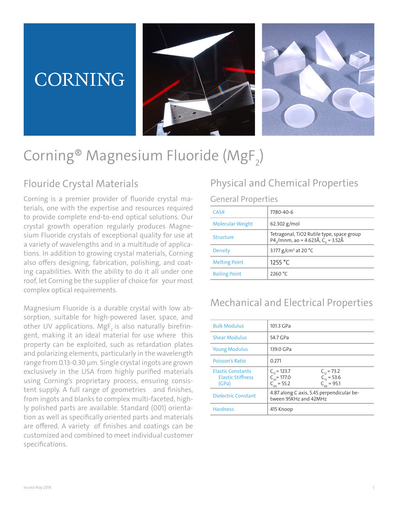# **CORNING**





# $\mathsf{Corning}^{\mathsf{\textcircled{e} Magnesium Fluoride}}\left(\mathsf{MgF}_{2}\right)$

## Flouride Crystal Materials

Corning is a premier provider of fluoride crystal materials, one with the expertise and resources required to provide complete end-to-end optical solutions. Our crystal growth operation regularly produces Magnesium Fluoride crystals of exceptional quality for use at a variety of wavelengths and in a multitude of applications. In addition to growing crystal materials, Corning also offers designing, fabrication, polishing, and coating capabilities. With the ability to do it all under one roof, let Corning be the supplier of choice for your most complex optical requirements.

Magnesium Fluoride is a durable crystal with low absorption, suitable for high-powered laser, space, and other UV applications. MgF<sub>2</sub> is also naturally birefringent, making it an ideal material for use where this property can be exploited, such as retardation plates and polarizing elements, particularly in the wavelength range from 0.13-0.30 µm. Single crystal ingots are grown exclusively in the USA from highly purified materials using Corning's proprietary process, ensuring consistent supply. A full range of geometries and finishes, from ingots and blanks to complex multi-faceted, highly polished parts are available. Standard (001) orientation as well as specifically oriented parts and materials are offered. A variety of finishes and coatings can be customized and combined to meet individual customer specifications.

## Physical and Chemical Properties

#### General Properties

| CAS#                    | 7780-40-6                                                                        |
|-------------------------|----------------------------------------------------------------------------------|
| <b>Molecular Weight</b> | $62.302$ g/mol                                                                   |
| Structure               | Tetragonal, TiO2 Rutile type, space group<br>P4,/mnm, ao = 4.623Å, $C_0$ = 3.52Å |
| Density                 | 3.177 g/cm <sup>3</sup> at 20 °C                                                 |
| <b>Melting Point</b>    | 1255 $\degree$ C                                                                 |
| <b>Boiling Point</b>    | 2260 °C                                                                          |

### Mechanical and Electrical Properties

| <b>Bulk Modulus</b>                                           | 101.3 GPa                                                                                                        |  |
|---------------------------------------------------------------|------------------------------------------------------------------------------------------------------------------|--|
| <b>Shear Modulus</b>                                          | 54.7 GPa                                                                                                         |  |
| <b>Young Modulus</b>                                          | 139.0 GPa                                                                                                        |  |
| Poisson's Ratio                                               | 0.271                                                                                                            |  |
| <b>Elastic Constants</b><br><b>Flastic Stiffness</b><br>(GPa) | $C_{11} = 123.7$<br>$C_{12} = 73.2$<br>$C_{22} = 177.0$<br>$C_{12} = 53.6$<br>$C_{AA} = 55.2$<br>$C_{66}$ = 95.1 |  |
| <b>Dielectric Constant</b>                                    | 4.87 along C axis, 5.45 perpendicular be-<br>tween 95KHz and 42MHz                                               |  |
| <b>Hardness</b>                                               | 415 Knoop                                                                                                        |  |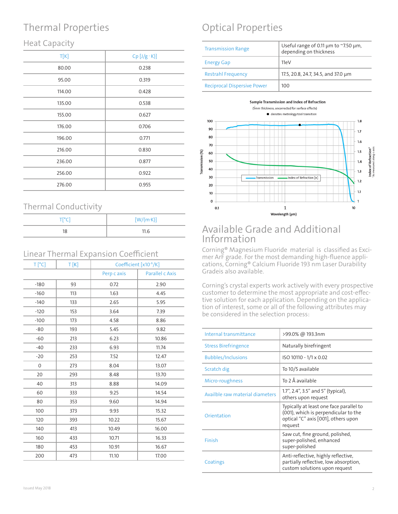## Thermal Properties

#### Heat Capacity

| T[K]   | $Cp$ [J/g · K)] |
|--------|-----------------|
| 80.00  | 0.238           |
| 95.00  | 0.319           |
| 114.00 | 0.428           |
| 135.00 | 0.538           |
| 155.00 | 0.627           |
| 176.00 | 0.706           |
| 196.00 | 0.771           |
| 216.00 | 0.830           |
| 236.00 | 0.877           |
| 256.00 | 0.922           |
| 276.00 | 0.955           |
|        |                 |

#### Thermal Conductivity

| $\overline{\phantom{a}}$ |                   |  |
|--------------------------|-------------------|--|
| TI <sup>o</sup> CI       | $[W/(m \cdot K)]$ |  |
| 18                       | 11.6              |  |

#### Linear Thermal Expansion Coefficient

| $T[^{\circ}C]$ | T[K] |             | Coefficient [x10 <sup>-6</sup> /K] |
|----------------|------|-------------|------------------------------------|
|                |      | Perp c axis | Parallel c Axis                    |
| $-180$         | 93   | 0.72        | 2.90                               |
| $-160$         | 113  | 1.63        | 4.45                               |
| $-140$         | 133  | 2.65        | 5.95                               |
| $-120$         | 153  | 3.64        | 7.39                               |
| $-100$         | 173  | 4.58        | 8.86                               |
| $-80$          | 193  | 5.45        | 9.82                               |
| $-60$          | 213  | 6.23        | 10.86                              |
| $-40$          | 233  | 6.93        | 11.74                              |
| $-20$          | 253  | 7.52        | 12.47                              |
| $\mathbf{O}$   | 273  | 8.04        | 13.07                              |
| 20             | 293  | 8.48        | 13.70                              |
| 40             | 313  | 8.88        | 14.09                              |
| 60             | 333  | 9.25        | 14.54                              |
| 80             | 353  | 9.60        | 14.94                              |
| 100            | 373  | 9.93        | 15.32                              |
| 120            | 393  | 10.22       | 15.67                              |
| 140            | 413  | 10.49       | 16.00                              |
| 160            | 433  | 10.71       | 16.33                              |
| 180            | 453  | 10.91       | 16.67                              |
| 200            | 473  | 11.10       | 17.00                              |

## Optical Properties

| <b>Transmission Range</b>          | Useful range of 0.11 $\mu$ m to ~7.50 $\mu$ m,<br>depending on thickness |
|------------------------------------|--------------------------------------------------------------------------|
| <b>Energy Gap</b>                  | 11eV                                                                     |
| <b>Restrahl Frequency</b>          | 17.5, 20.8, 24.7, 34.5, and 37.0 µm                                      |
| <b>Reciprocal Dispersive Power</b> | 100                                                                      |



#### Available Grade and Additional Information

Corning® Magnesium Fluoride material is classified as Excimer ArF grade. For the most demanding high-fluence applications, Corning® Calcium Fluoride 193 nm Laser Durability Gradeis also available.

Corning's crystal experts work actively with every prospective customer to determine the most appropriate and cost-effective solution for each application. Depending on the application of interest, some or all of the following attributes may be considered in the selection process:

| Internal transmittance          | >99.0% @ 193.3nm                                                                                                                  |
|---------------------------------|-----------------------------------------------------------------------------------------------------------------------------------|
| <b>Stress Birefringence</b>     | Naturally birefringent                                                                                                            |
| <b>Bubbles/Inclusions</b>       | ISO 10110 - 1/1 x 0.02                                                                                                            |
| Scratch dig                     | To 10/5 available                                                                                                                 |
| Micro-roughness                 | To 2 Å available                                                                                                                  |
| Availble raw material diameters | 1.7", 2.4", 3.5" and 5" (typical),<br>others upon request                                                                         |
| Orientation                     | Typically at least one face parallel to<br>(001), which is perpendicular to the<br>optical "C" axis [001], others upon<br>request |
| Finish                          | Saw cut, fine ground, polished,<br>super-polished, enhanced<br>super-polished                                                     |
| Coatings                        | Anti-reflective, highly reflective,<br>partially reflective, low absorption,<br>custom solutions upon request                     |